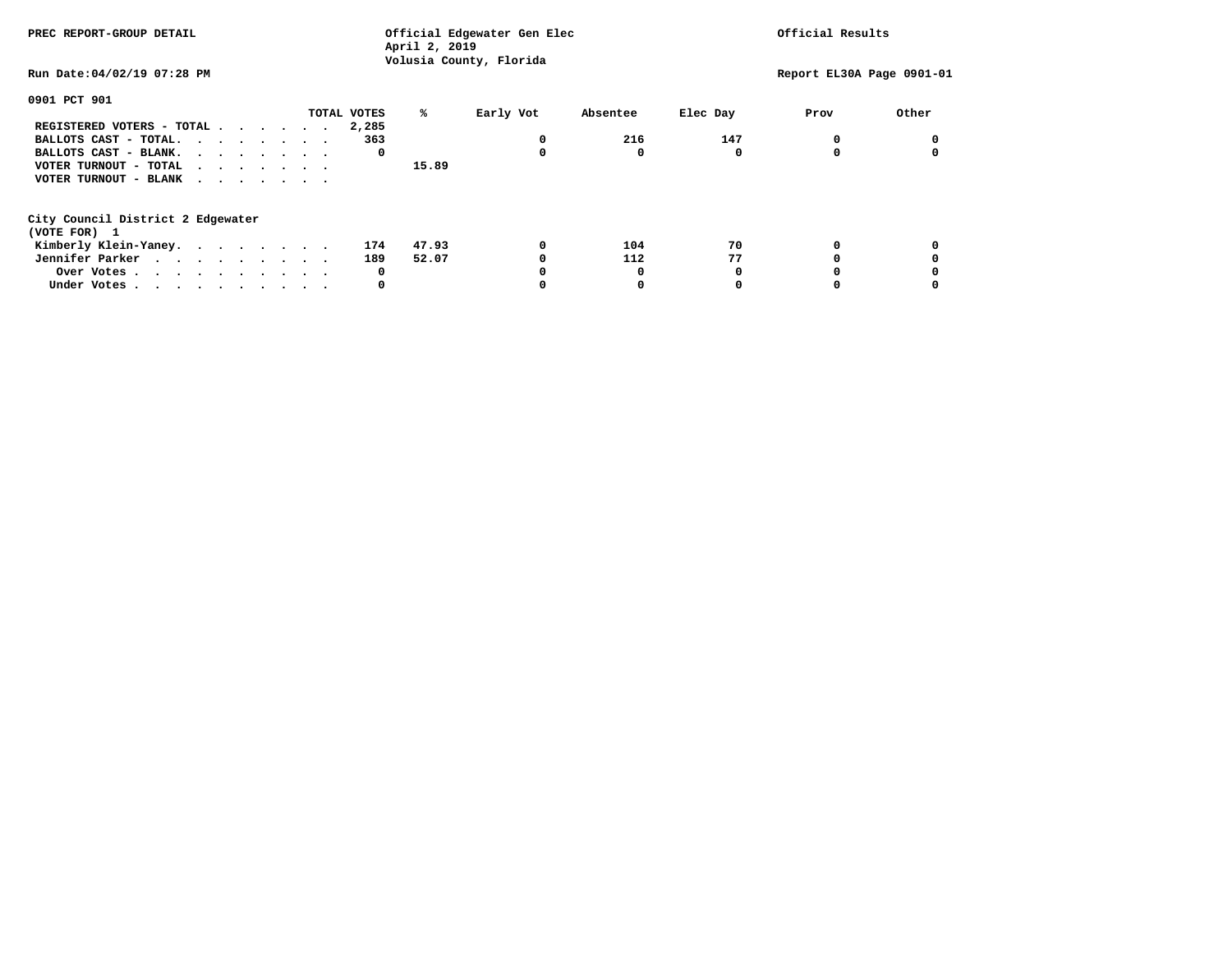| PREC REPORT-GROUP DETAIL          |             | Official Edgewater Gen Elec<br>April 2, 2019 | Official Results<br>Report EL30A Page 0901-01 |          |      |       |
|-----------------------------------|-------------|----------------------------------------------|-----------------------------------------------|----------|------|-------|
| Run Date: 04/02/19 07:28 PM       |             | Volusia County, Florida                      |                                               |          |      |       |
| 0901 PCT 901                      |             |                                              |                                               |          |      |       |
|                                   | TOTAL VOTES | %ะ<br>Early Vot                              | Absentee                                      | Elec Day | Prov | Other |
| REGISTERED VOTERS - TOTAL         | 2,285       |                                              |                                               |          |      |       |
| BALLOTS CAST - TOTAL.             | 363         | 0                                            | 216                                           | 147      | 0    |       |
| BALLOTS CAST - BLANK.             | 0           | 0                                            | $\Omega$                                      | O        |      |       |
| VOTER TURNOUT - TOTAL             |             | 15.89                                        |                                               |          |      |       |
| VOTER TURNOUT - BLANK             |             |                                              |                                               |          |      |       |
| City Council District 2 Edgewater |             |                                              |                                               |          |      |       |
| (VOTE FOR) 1                      |             |                                              |                                               |          |      |       |
| Kimberly Klein-Yaney.             | 174         | 47.93<br>0                                   | 104                                           | 70       |      |       |
| Jennifer Parker                   | 189         | 52.07<br>0                                   | 112                                           | 77       |      |       |
| Over Votes                        | 0           |                                              |                                               |          |      |       |
| Under Votes                       | 0           |                                              | 0                                             |          |      |       |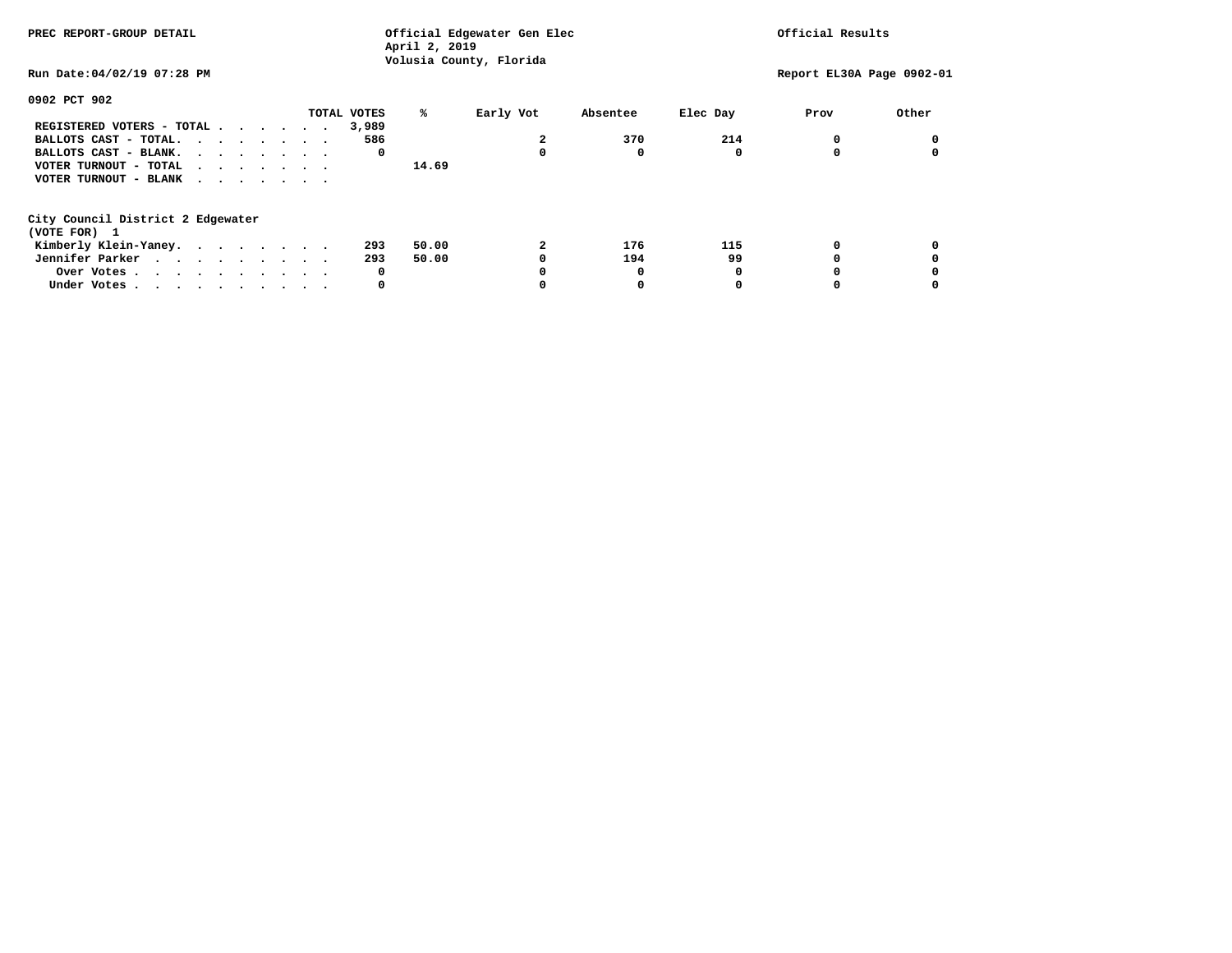**April 2, 2019 Volusia County, Florida Run Date:04/02/19 07:28 PM Report EL30A Page 0902-01 0902 PCT 902 TOTAL VOTES % Early Vot Absentee Elec Day Prov Other REGISTERED VOTERS - TOTAL . . . . . . 3,989 BALLOTS CAST - TOTAL. . . . . . . 586** 2 370 214 0 0 0  **BALLOTS CAST - BLANK. . . . . . . . 0 0 0 0 0 0 VOTER TURNOUT - TOTAL . . . . . . . 14.69 VOTER TURNOUT - BLANK . . . . . . . City Council District 2 Edgewater (VOTE FOR) 1 Kimberly Klein-Yaney. . . . . . . . 293 50.00 2 176 115 0 0 Jennifer Parker . . . . . . . . 293 50.00 0 194 99 0 0 0**  $\mathbf 0$  **Over Votes . . . . . . . . . . 0 0 0 0 0 0 Under Votes . . . . . . . . . . 0 0 0 0 0 0** 

**PREC REPORT-GROUP DETAIL Official Edgewater Gen Elec Official Results**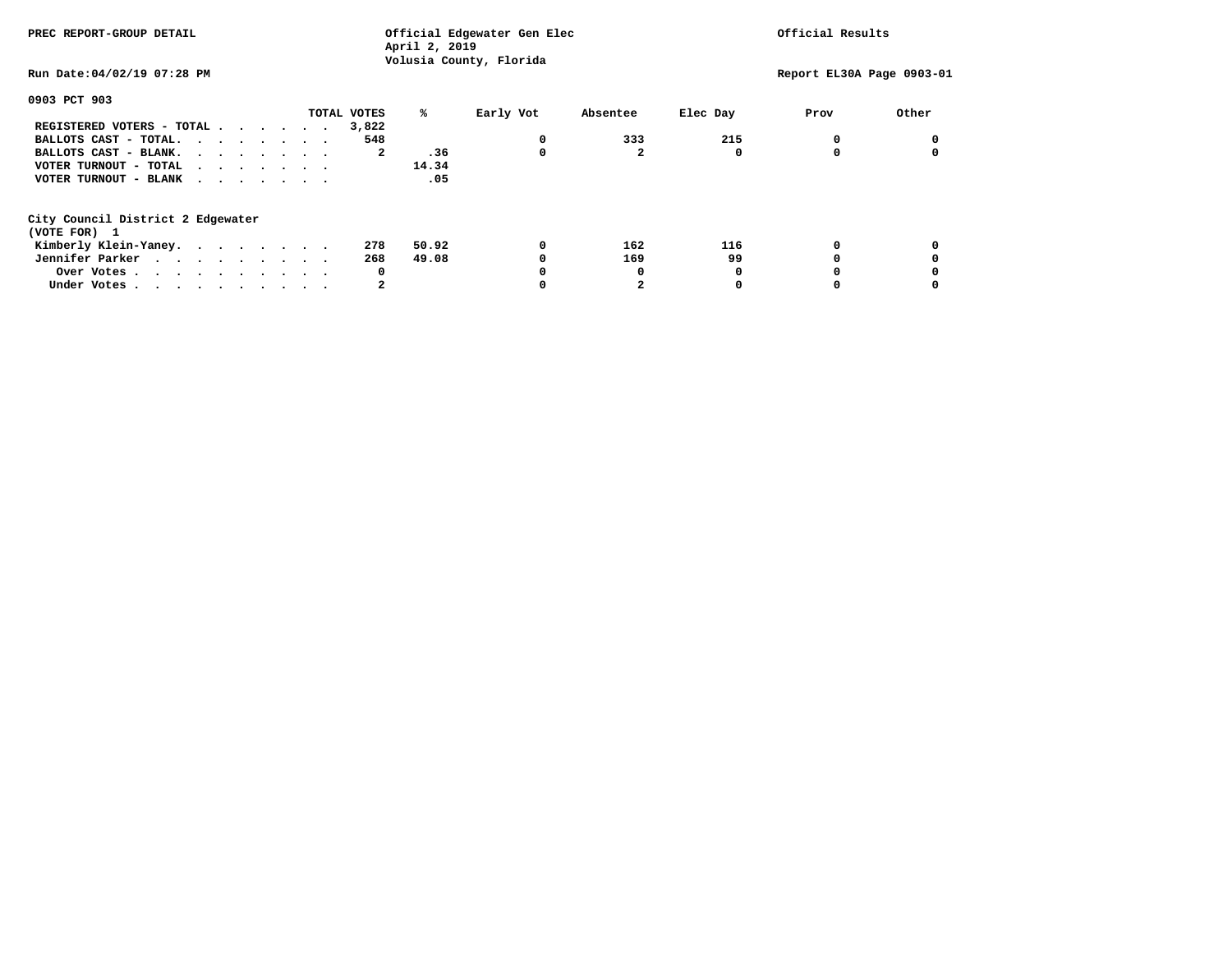**April 2, 2019 Volusia County, Florida Run Date:04/02/19 07:28 PM Report EL30A Page 0903-01 0903 PCT 903 TOTAL VOTES % Early Vot Absentee Elec Day Prov Other REGISTERED VOTERS - TOTAL . . . . . . 3,822 BALLOTS CAST - TOTAL.** . . . . . . 548 0 333 215 0 0 0 **BALLOTS CAST - BLANK. . . . . . . . 2** .36 0 2 0 0 0 0  **VOTER TURNOUT - TOTAL . . . . . . . 14.34**  $.05$  **VOTER TURNOUT - BLANK . . . . . . . City Council District 2 Edgewater (VOTE FOR) 1 Kimberly Klein-Yaney. . . . . . . . 278 50.92 0 162 116 0 0 Jennifer Parker . . . . . . . . 268 49.08 0 169 99 0 0 0**  $\mathbf 0$  **Over Votes . . . . . . . . . . 0 0 0 0 0 0 Under Votes . . . . . . . . . . 2 0 2 0 0 0** 

**PREC REPORT-GROUP DETAIL Official Edgewater Gen Elec Official Results**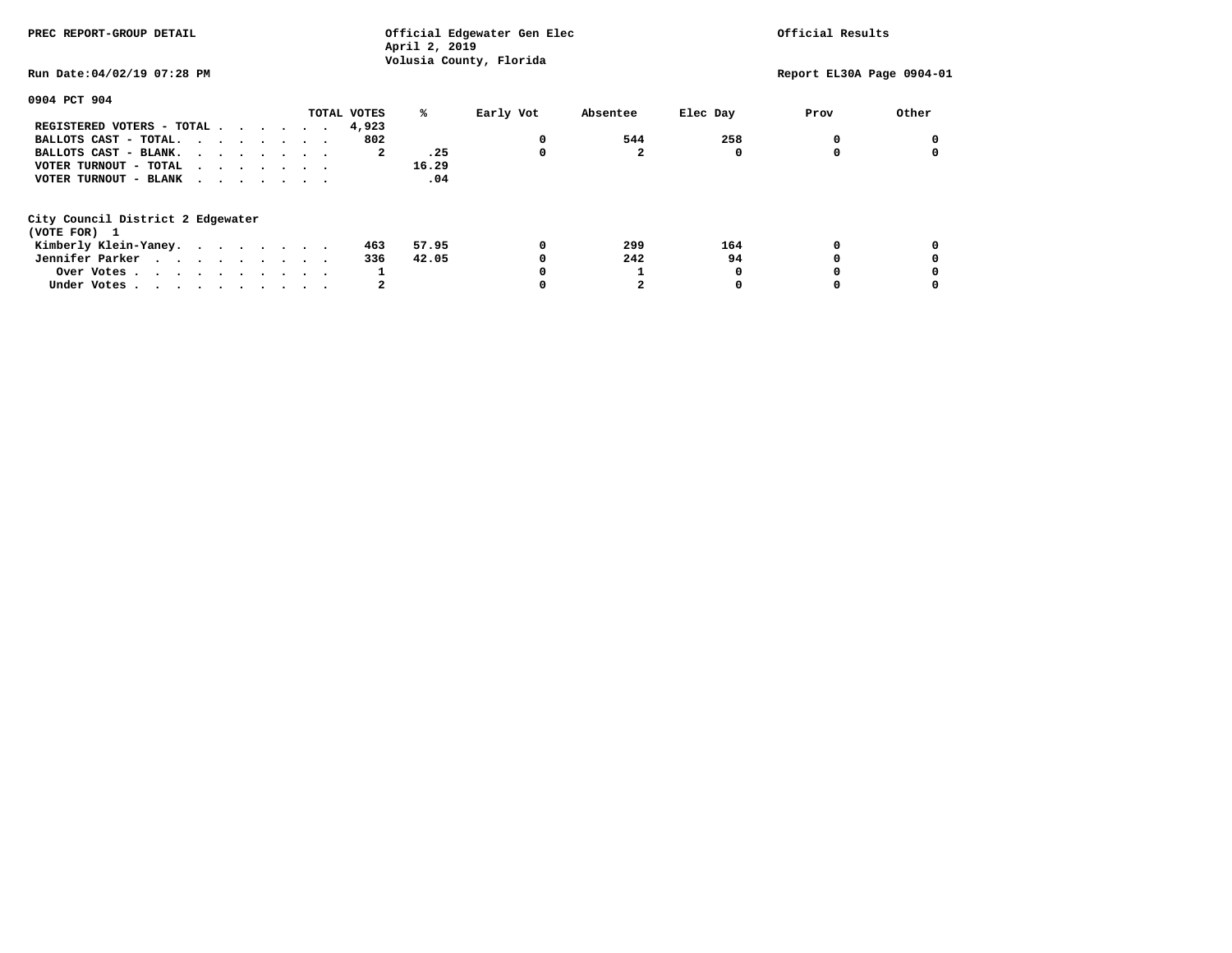**April 2, 2019 Volusia County, Florida Run Date:04/02/19 07:28 PM Report EL30A Page 0904-01 0904 PCT 904 TOTAL VOTES % Early Vot Absentee Elec Day Prov Other REGISTERED VOTERS - TOTAL . . . . . . 4,923 BALLOTS CAST - TOTAL. . . . . . . . 802 0 544 258 0 0 BALLOTS CAST - BLANK. . . . . . . . 2** .25 0 2 0 0 0 0  **VOTER TURNOUT - TOTAL . . . . . . . 16.29**  $.04$  **VOTER TURNOUT - BLANK . . . . . . . City Council District 2 Edgewater (VOTE FOR) 1 Kimberly Klein-Yaney. . . . . . . . 463 57.95 0 299 164 0 0 Jennifer Parker . . . . . . . . 336 42.05** 0 242 94 0 0 0  **Over Votes . . . . . . . . . . 1 0 1 0 0 0 Under Votes . . . . . . . . . . 2 0 2 0 0 0** 

 $\mathbf 0$ 

**PREC REPORT-GROUP DETAIL Official Edgewater Gen Elec Official Results**